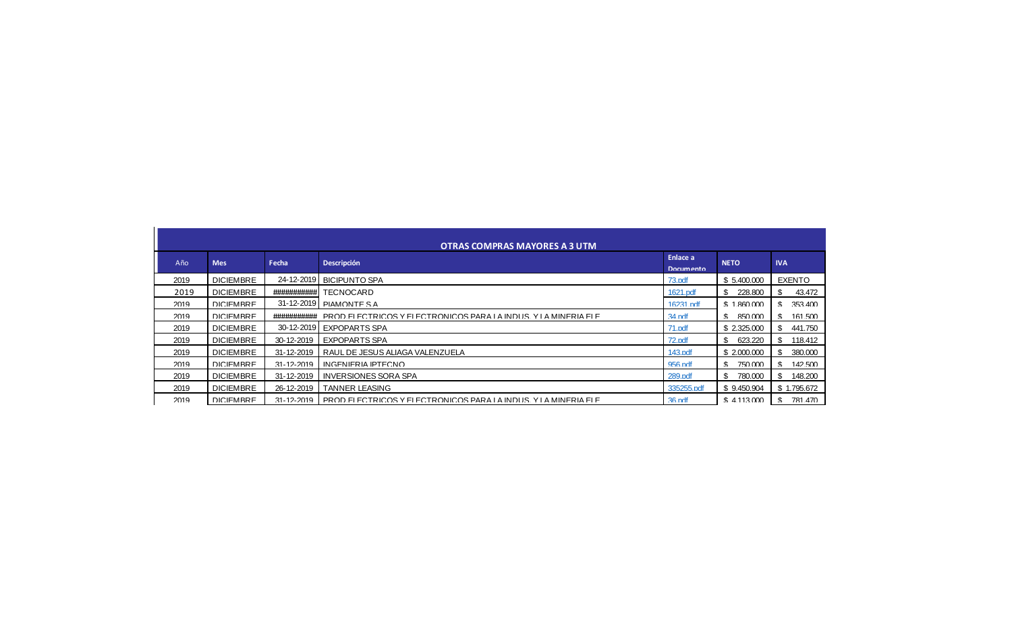| <b>The American Section Advisor</b> |  |                |                                                                                                                                                                                                                                                                                                                                                                                                                                                                            |  |  |   |  |  |  |  |
|-------------------------------------|--|----------------|----------------------------------------------------------------------------------------------------------------------------------------------------------------------------------------------------------------------------------------------------------------------------------------------------------------------------------------------------------------------------------------------------------------------------------------------------------------------------|--|--|---|--|--|--|--|
|                                     |  | ٠              | <b>Service</b>                                                                                                                                                                                                                                                                                                                                                                                                                                                             |  |  |   |  |  |  |  |
|                                     |  |                |                                                                                                                                                                                                                                                                                                                                                                                                                                                                            |  |  |   |  |  |  |  |
|                                     |  |                |                                                                                                                                                                                                                                                                                                                                                                                                                                                                            |  |  |   |  |  |  |  |
|                                     |  |                |                                                                                                                                                                                                                                                                                                                                                                                                                                                                            |  |  |   |  |  |  |  |
|                                     |  |                | --<br>٠                                                                                                                                                                                                                                                                                                                                                                                                                                                                    |  |  |   |  |  |  |  |
|                                     |  |                | <b>CONTRACTOR</b>                                                                                                                                                                                                                                                                                                                                                                                                                                                          |  |  |   |  |  |  |  |
|                                     |  |                |                                                                                                                                                                                                                                                                                                                                                                                                                                                                            |  |  |   |  |  |  |  |
|                                     |  |                |                                                                                                                                                                                                                                                                                                                                                                                                                                                                            |  |  |   |  |  |  |  |
|                                     |  |                | $\frac{1}{2} \left( \frac{1}{2} \right) \left( \frac{1}{2} \right) \left( \frac{1}{2} \right) \left( \frac{1}{2} \right) \left( \frac{1}{2} \right) \left( \frac{1}{2} \right) \left( \frac{1}{2} \right) \left( \frac{1}{2} \right) \left( \frac{1}{2} \right) \left( \frac{1}{2} \right) \left( \frac{1}{2} \right) \left( \frac{1}{2} \right) \left( \frac{1}{2} \right) \left( \frac{1}{2} \right) \left( \frac{1}{2} \right) \left( \frac{1}{2} \right) \left( \frac$ |  |  |   |  |  |  |  |
|                                     |  | <b>COLLA</b>   |                                                                                                                                                                                                                                                                                                                                                                                                                                                                            |  |  |   |  |  |  |  |
|                                     |  | ٠<br>۰         | ---<br>-                                                                                                                                                                                                                                                                                                                                                                                                                                                                   |  |  |   |  |  |  |  |
|                                     |  | <b>COLORED</b> | <b>Contractor</b><br>-----------                                                                                                                                                                                                                                                                                                                                                                                                                                           |  |  | n |  |  |  |  |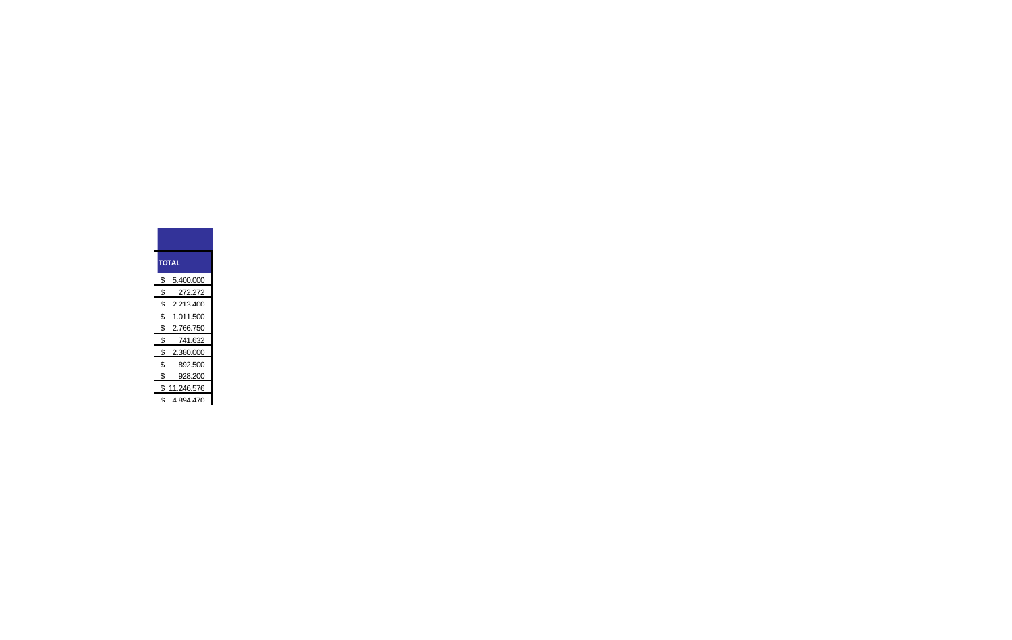## **\$ 2.766.750**